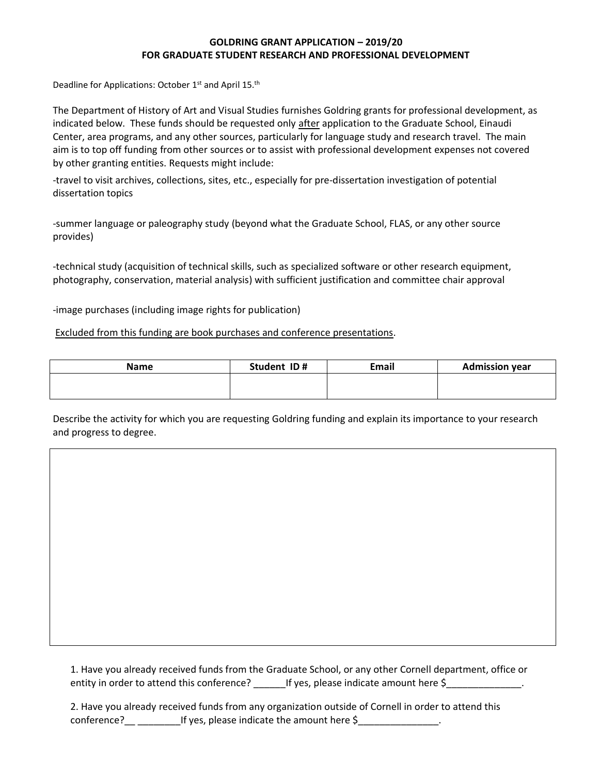## **GOLDRING GRANT APPLICATION – 2019/20 FOR GRADUATE STUDENT RESEARCH AND PROFESSIONAL DEVELOPMENT**

Deadline for Applications: October 1<sup>st</sup> and April 15.<sup>th</sup>

The Department of History of Art and Visual Studies furnishes Goldring grants for professional development, as indicated below. These funds should be requested only after application to the Graduate School, Einaudi Center, area programs, and any other sources, particularly for language study and research travel. The main aim is to top off funding from other sources or to assist with professional development expenses not covered by other granting entities. Requests might include:

-travel to visit archives, collections, sites, etc., especially for pre-dissertation investigation of potential dissertation topics

-summer language or paleography study (beyond what the Graduate School, FLAS, or any other source provides)

-technical study (acquisition of technical skills, such as specialized software or other research equipment, photography, conservation, material analysis) with sufficient justification and committee chair approval

-image purchases (including image rights for publication)

Excluded from this funding are book purchases and conference presentations.

| <b>Name</b> | Student ID# | <b>Email</b> | <b>Admission year</b> |
|-------------|-------------|--------------|-----------------------|
|             |             |              |                       |
|             |             |              |                       |

Describe the activity for which you are requesting Goldring funding and explain its importance to your research and progress to degree.

1. Have you already received funds from the Graduate School, or any other Cornell department, office or entity in order to attend this conference? Figures, please indicate amount here \$

2. Have you already received funds from any organization outside of Cornell in order to attend this conference?\_\_ \_\_\_\_\_\_\_\_\_\_\_If yes, please indicate the amount here \$\_\_\_\_\_\_\_\_\_\_\_\_\_\_\_\_.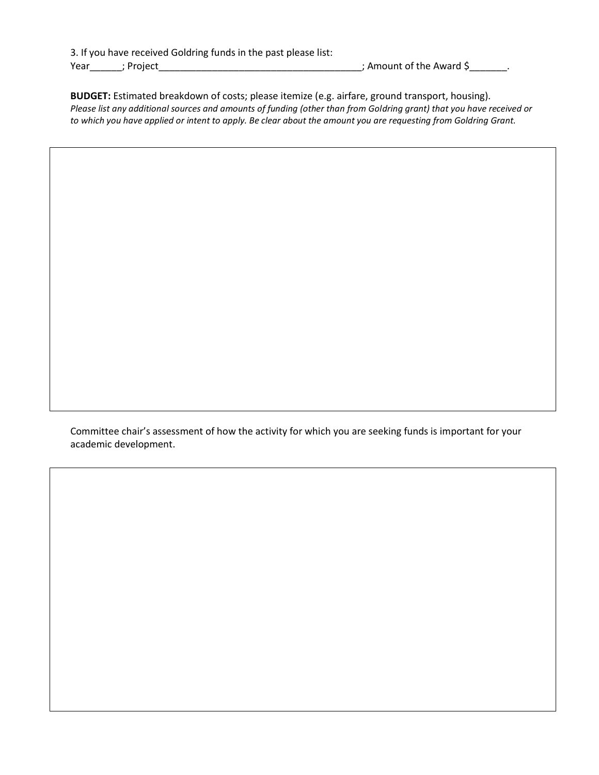3. If you have received Goldring funds in the past please list: Year\_\_\_\_\_\_; Project\_\_\_\_\_\_\_\_\_\_\_\_\_\_\_\_\_\_\_\_\_\_\_\_\_\_\_\_\_\_\_\_\_\_\_\_\_\_; Amount of the Award \$\_\_\_\_\_\_\_.

**BUDGET:** Estimated breakdown of costs; please itemize (e.g. airfare, ground transport, housing). *Please list any additional sources and amounts of funding (other than from Goldring grant) that you have received or to which you have applied or intent to apply. Be clear about the amount you are requesting from Goldring Grant.*

Committee chair's assessment of how the activity for which you are seeking funds is important for your academic development.